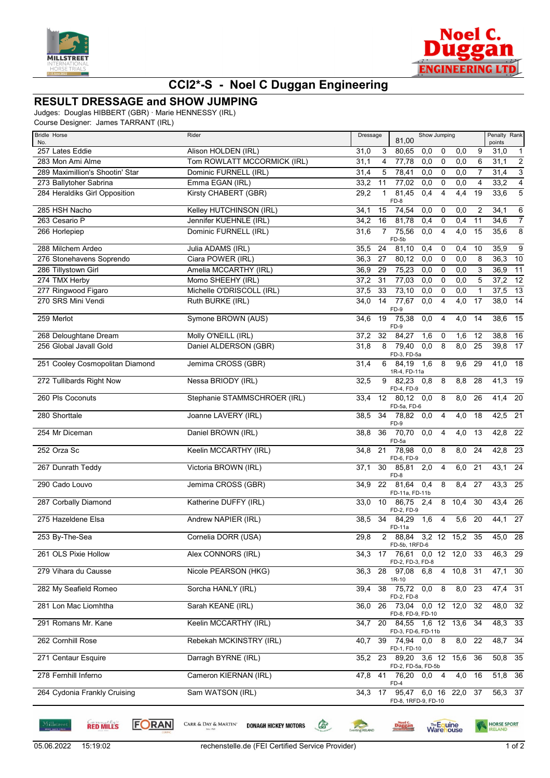



## **CCI2\*-S - Noel C Duggan Engineering**

## **RESULT DRESSAGE and SHOW JUMPING**

Judges: Douglas HIBBERT (GBR) · Marie HENNESSY (IRL)

Course Designer: James TARRANT (IRL)

| <b>Bridle Horse</b>             | Rider                        | Dressage                | Show Jumping<br>81,00                                 |                  | Penalty Rank   |                |                 |
|---------------------------------|------------------------------|-------------------------|-------------------------------------------------------|------------------|----------------|----------------|-----------------|
| No.<br>257 Lates Eddie          | Alison HOLDEN (IRL)          | 3<br>31,0               | 80,65<br>0,0<br>0                                     | 0,0              | 9              | points<br>31,0 | $\overline{1}$  |
| 283 Mon Ami Alme                | Tom ROWLATT MCCORMICK (IRL)  | 31,1<br>$\overline{4}$  | 77,78<br>0,0<br>$\overline{0}$                        | 0,0              | 6              | 31,1           | $\overline{2}$  |
| 289 Maximillion's Shootin' Star | Dominic FURNELL (IRL)        | 31,4<br>5               | 78,41<br>0,0<br>$\overline{0}$                        | 0,0              | $\overline{7}$ | 31,4           | $\overline{3}$  |
| 273 Ballytoher Sabrina          | Emma EGAN (IRL)              | 33,2<br>11              | 77,02<br>0,0<br>$\overline{0}$                        | 0,0              | 4              | 33,2           | $\overline{4}$  |
| 284 Heraldiks Girl Opposition   | Kirsty CHABERT (GBR)         | 29,2<br>$\mathbf{1}$    | 81,45<br>0,4<br>$\overline{4}$<br>$FD-8$              | 4,4              | 19             | 33,6           | $\overline{5}$  |
| 285 HSH Nacho                   | Kelley HUTCHINSON (IRL)      | 34,1<br>15              | 74,54<br>0,0<br>0                                     | 0,0              | $\overline{2}$ | 34,1           | 6               |
| 263 Cesario P                   | Jennifer KUEHNLE (IRL)       | 16<br>34,2              | 81,78<br>0,4<br>$\mathbf 0$                           | 0,4              | 11             | 34,6           | $\overline{7}$  |
| 266 Horlepiep                   | Dominic FURNELL (IRL)        | 31,6<br>$\overline{7}$  | 75,56<br>0,0<br>4<br>FD-5b                            | 4,0              | 15             | 35,6           | 8               |
| 288 Milchem Ardeo               | Julia ADAMS (IRL)            | 35,5<br>24              | 81,10<br>0,4<br>0                                     | 0,4              | 10             | 35,9           | 9               |
| 276 Stonehavens Soprendo        | Ciara POWER (IRL)            | 36,3<br>27              | 80,12<br>$\mathbf 0$<br>0,0                           | 0,0              | 8              | 36,3           | 10              |
| 286 Tillystown Girl             | Amelia MCCARTHY (IRL)        | 36,9<br>29              | 75,23<br>0,0<br>$\overline{0}$                        | 0,0              | 3              | 36,9           | $\overline{11}$ |
| 274 TMX Herby                   | Momo SHEEHY (IRL)            | 37,2<br>31              | 77,03<br>0,0<br>$\overline{0}$                        | 0,0              | 5              | $37,2$ 12      |                 |
| 277 Ringwood Figaro             | Michelle O'DRISCOLL (IRL)    | 37,5<br>33              | 73,10<br>0,0<br>0                                     | 0,0              | $\mathbf{1}$   | 37,5           | $\overline{13}$ |
| 270 SRS Mini Vendi              | Ruth BURKE (IRL)             | $\overline{14}$<br>34,0 | 77,67<br>0,0<br>$\overline{4}$<br>FD-9                | $\overline{4,0}$ | 17             | 38,0           | $\overline{14}$ |
| 259 Merlot                      | Symone BROWN (AUS)           | $\overline{19}$<br>34,6 | 75,38<br>0,0<br>4<br>$FD-9$                           | $\overline{4,0}$ | 14             | 38,6           | $\overline{15}$ |
| 268 Deloughtane Dream           | Molly O'NEILL (IRL)          | 32<br>37,2              | 84,27<br>1,6<br>$\mathbf 0$                           | 1,6              | 12             | 38,8           | 16              |
| 256 Global Javall Gold          | Daniel ALDERSON (GBR)        | 8<br>31,8               | 79,40<br>8<br>0,0<br>FD-3, FD-5a                      | 8,0              | 25             | 39,8           | 17              |
| 251 Cooley Cosmopolitan Diamond | Jemima CROSS (GBR)           | 31,4<br>6               | 84,19<br>1,6<br>8                                     | $\overline{9,6}$ | 29             | 41,0           | 18              |
| 272 Tullibards Right Now        | Nessa BRIODY (IRL)           | 32,5<br>9               | 1R-4, FD-11a<br>82,23<br>8<br>0,8                     | 8,8              | 28             | $41,3$ 19      |                 |
| 260 Pls Coconuts                | Stephanie STAMMSCHROER (IRL) | 33,4<br>12              | FD-4, FD-9<br>80,12<br>0,0<br>8                       | 8,0              | 26             | $41,4$ 20      |                 |
| 280 Shorttale                   | Joanne LAVERY (IRL)          | 34<br>38,5              | FD-5a, FD-6<br>78,82<br>0,0<br>4                      | $\overline{4,0}$ | 18             | $42,5$ 21      |                 |
| 254 Mr Diceman                  | Daniel BROWN (IRL)           | 36<br>38,8              | FD-9<br>70,70<br>0,0<br>4                             | 4,0              | 13             | $42,8$ 22      |                 |
| 252 Orza Sc                     | Keelin MCCARTHY (IRL)        | 21<br>34,8              | FD-5a<br>$\overline{0,0}$<br>8<br>78,98<br>FD-6, FD-9 | 8,0              | 24             | $42,8$ 23      |                 |
| 267 Dunrath Teddy               | Victoria BROWN (IRL)         | 30<br>37,1              | 85,81<br>2,0<br>4<br>FD-8                             | 6,0              | 21             | 43,1           | 24              |
| 290 Cado Louvo                  | Jemima CROSS (GBR)           | 22<br>34,9              | 81,64<br>0,4<br>8<br>FD-11a, FD-11b                   | 8,4              | 27             | 43,3           | 25              |
| 287 Corbally Diamond            | Katherine DUFFY (IRL)        | 33,0                    | 10 86,75<br>2,4<br>FD-2, FD-9                         | 8 10,4           | 30             | 43,4           | 26              |
| 275 Hazeldene Elsa              | Andrew NAPIER (IRL)          | 34<br>38,5              | 84,29<br>1,6<br>4<br>FD-11a                           | 5,6              | 20             | 44,1           | 27              |
| 253 By-The-Sea                  | Cornelia DORR (USA)          | 29,8                    | 2 88,84 3,2 12 15,2 35<br>FD-5b, 1RFD-6               |                  |                | 45,0 28        |                 |
| 261 OLS Pixie Hollow            | Alex CONNORS (IRL)           | 34.3                    | 17 76,61 0,0 12 12,0 33<br>FD-2, FD-3, FD-8           |                  |                | $46,3$ 29      |                 |
| 279 Vihara du Causse            | Nicole PEARSON (HKG)         | 36,3                    | 28 97,08 6,8<br>1R-10                                 | 4 10,8 31        |                | $47,1$ 30      |                 |
| 282 My Seafield Romeo           | Sorcha HANLY (IRL)           | 38<br>39,4              | $\overline{8}$<br>0,0<br>75,72<br>FD-2, FD-8          | $8,0$ 23         |                | $47,4$ 31      |                 |
| 281 Lon Mac Liomhtha            | Sarah KEANE (IRL)            | 36,0<br>26              | 0,0 12 12,0 32<br>73,04<br>FD-8, FD-9, FD-10          |                  |                | 48,0 32        |                 |
| 291 Romans Mr. Kane             | Keelin MCCARTHY (IRL)        | 34,7                    | 20 84,55<br>1,6 12 13,6 34<br>FD-3, FD-6, FD-11b      |                  |                | 48,3 33        |                 |
| 262 Cornhill Rose               | Rebekah MCKINSTRY (IRL)      | 40,7                    | 39 74,94 0.0 8<br>FD-1, FD-10                         | 8,0 22           |                | 48,7 34        |                 |
| 271 Centaur Esquire             | Darragh BYRNE (IRL)          | 35,2                    | 23 89,20 3,6 12 15,6 36                               |                  |                | 50,8 35        |                 |
| 278 Fernhill Inferno            | Cameron KIERNAN (IRL)        | 47,8                    | FD-2, FD-5a, FD-5b<br>41 76,20 0,0 4                  | 4,0 16           |                | $51,8$ 36      |                 |
| 264 Cydonia Frankly Cruising    | Sam WATSON (IRL)             | 34,3<br>17              | FD-4<br>95,47 6,0 16 22,0 37                          |                  |                | $56,3$ 37      |                 |
|                                 |                              |                         | FD-8, 1RFD-9, FD-10                                   |                  |                |                |                 |

**FORAN RED MILLS** 

CARR & DAY & MARTIN' **DONAGH HICKEY MOTORS** 

**Executing RELAND**  $\begin{picture}(220,20) \put(0,0){\line(1,0){10}} \put(15,0){\line(1,0){10}} \put(15,0){\line(1,0){10}} \put(15,0){\line(1,0){10}} \put(15,0){\line(1,0){10}} \put(15,0){\line(1,0){10}} \put(15,0){\line(1,0){10}} \put(15,0){\line(1,0){10}} \put(15,0){\line(1,0){10}} \put(15,0){\line(1,0){10}} \put(15,0){\line(1,0){10}} \put(15,0){\line($ 

HORSE SPORT

Duggan

**Warehouse**